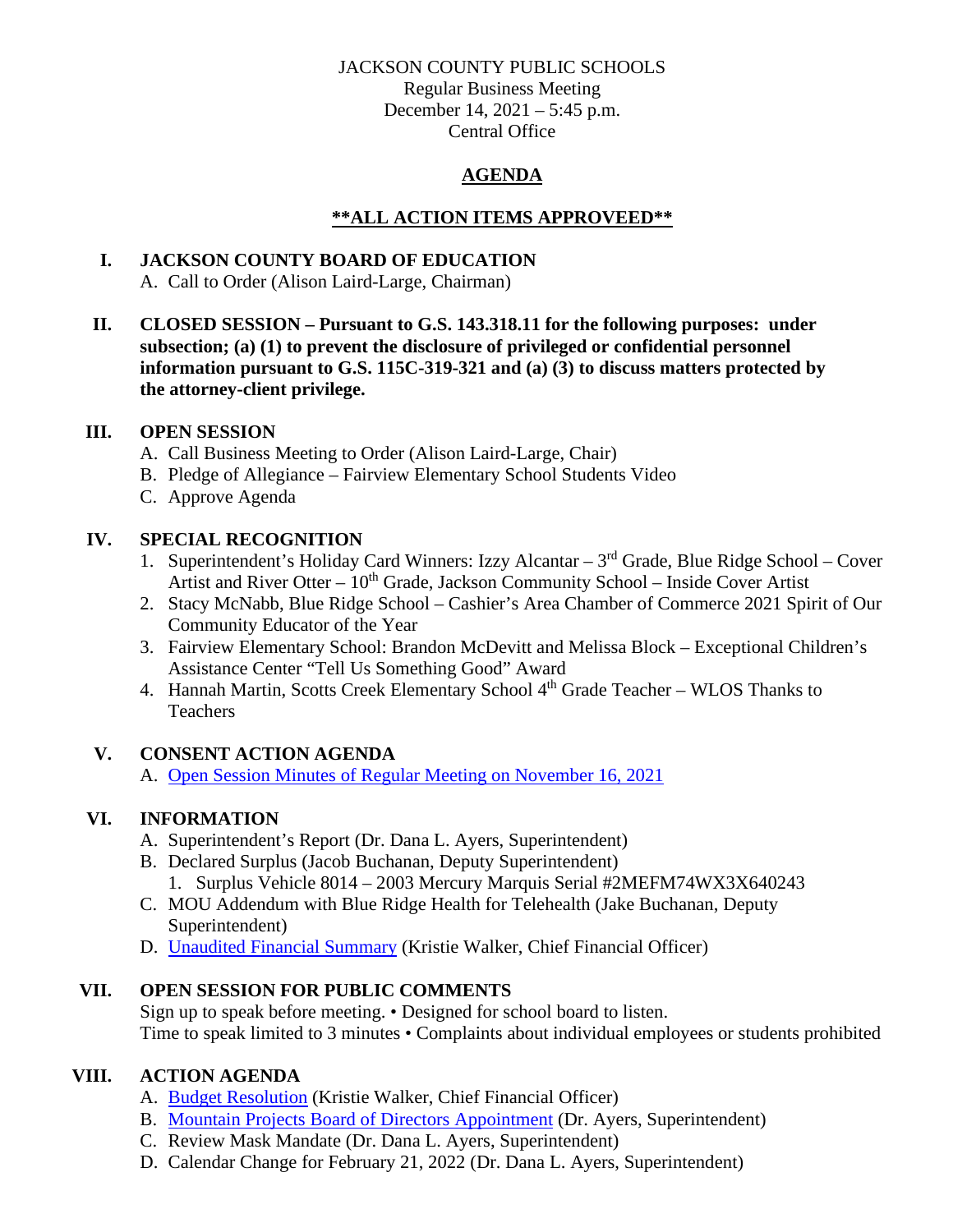#### JACKSON COUNTY PUBLIC SCHOOLS

Regular Business Meeting December 14, 2021 – 5:45 p.m. Central Office

# **AGENDA**

## **\*\*ALL ACTION ITEMS APPROVEED\*\***

## **I. JACKSON COUNTY BOARD OF EDUCATION**

A. Call to Order (Alison Laird-Large, Chairman)

**II. CLOSED SESSION – Pursuant to G.S. 143.318.11 for the following purposes: under subsection; (a) (1) to prevent the disclosure of privileged or confidential personnel information pursuant to G.S. 115C-319-321 and (a) (3) to discuss matters protected by the attorney-client privilege.**

#### **III. OPEN SESSION**

- A. Call Business Meeting to Order (Alison Laird-Large, Chair)
- B. Pledge of Allegiance Fairview Elementary School Students Video
- C. Approve Agenda

### **IV. SPECIAL RECOGNITION**

- 1. Superintendent's Holiday Card Winners: Izzy Alcantar  $3<sup>rd</sup>$  Grade, Blue Ridge School Cover Artist and River Otter –  $10<sup>th</sup>$  Grade, Jackson Community School – Inside Cover Artist
- 2. Stacy McNabb, Blue Ridge School Cashier's Area Chamber of Commerce 2021 Spirit of Our Community Educator of the Year
- 3. Fairview Elementary School: Brandon McDevitt and Melissa Block Exceptional Children's Assistance Center "Tell Us Something Good" Award
- 4. Hannah Martin, Scotts Creek Elementary School 4<sup>th</sup> Grade Teacher WLOS Thanks to Teachers

# **V. CONSENT ACTION AGENDA**

A. [Open Session Minutes of Regular Meeting on November 16,](https://jcpsmail-my.sharepoint.com/:b:/g/personal/cfields_jcpsmail_org/Edtprs4ykKlJo8ru8qHMg6sBPkg52dLMBl75t8yRkUXnuA?e=DXWAyZ) 2021

# **VI. INFORMATION**

- A. Superintendent's Report (Dr. Dana L. Ayers, Superintendent)
- B. Declared Surplus (Jacob Buchanan, Deputy Superintendent)
	- 1. Surplus Vehicle 8014 2003 Mercury Marquis Serial #2MEFM74WX3X640243
- C. MOU Addendum with Blue Ridge Health for Telehealth (Jake Buchanan, Deputy Superintendent)
- D. Unaudited [Financial Summary](https://jcpsmail-my.sharepoint.com/:b:/g/personal/cfields_jcpsmail_org/Ea3fbsENzI5PqJXNjq2JUZABdLa7WjuLJKhKeWSMXEjfcA?e=jUeTTH) (Kristie Walker, Chief Financial Officer)

# **VII. OPEN SESSION FOR PUBLIC COMMENTS**

Sign up to speak before meeting. • Designed for school board to listen. Time to speak limited to 3 minutes • Complaints about individual employees or students prohibited

# **VIII. ACTION AGENDA**

- A. [Budget Resolution](https://jcpsmail-my.sharepoint.com/:b:/g/personal/cfields_jcpsmail_org/EUxIYfR1OdtDrNmwTJ7E7GEB2ZYABU8Y4sWKi5xZYUJtTw?e=h9x0Ar) (Kristie Walker, Chief Financial Officer)
- B. [Mountain Projects Board of Directors Appointment](https://jcpsmail-my.sharepoint.com/:b:/g/personal/cfields_jcpsmail_org/EUcT9Fh5qJ9El6kBDFvLPEIBbjQEbiHUvaOEBzW0-u5NNA?e=K9ASuW) (Dr. Ayers, Superintendent)
- C. Review Mask Mandate (Dr. Dana L. Ayers, Superintendent)
- D. Calendar Change for February 21, 2022 (Dr. Dana L. Ayers, Superintendent)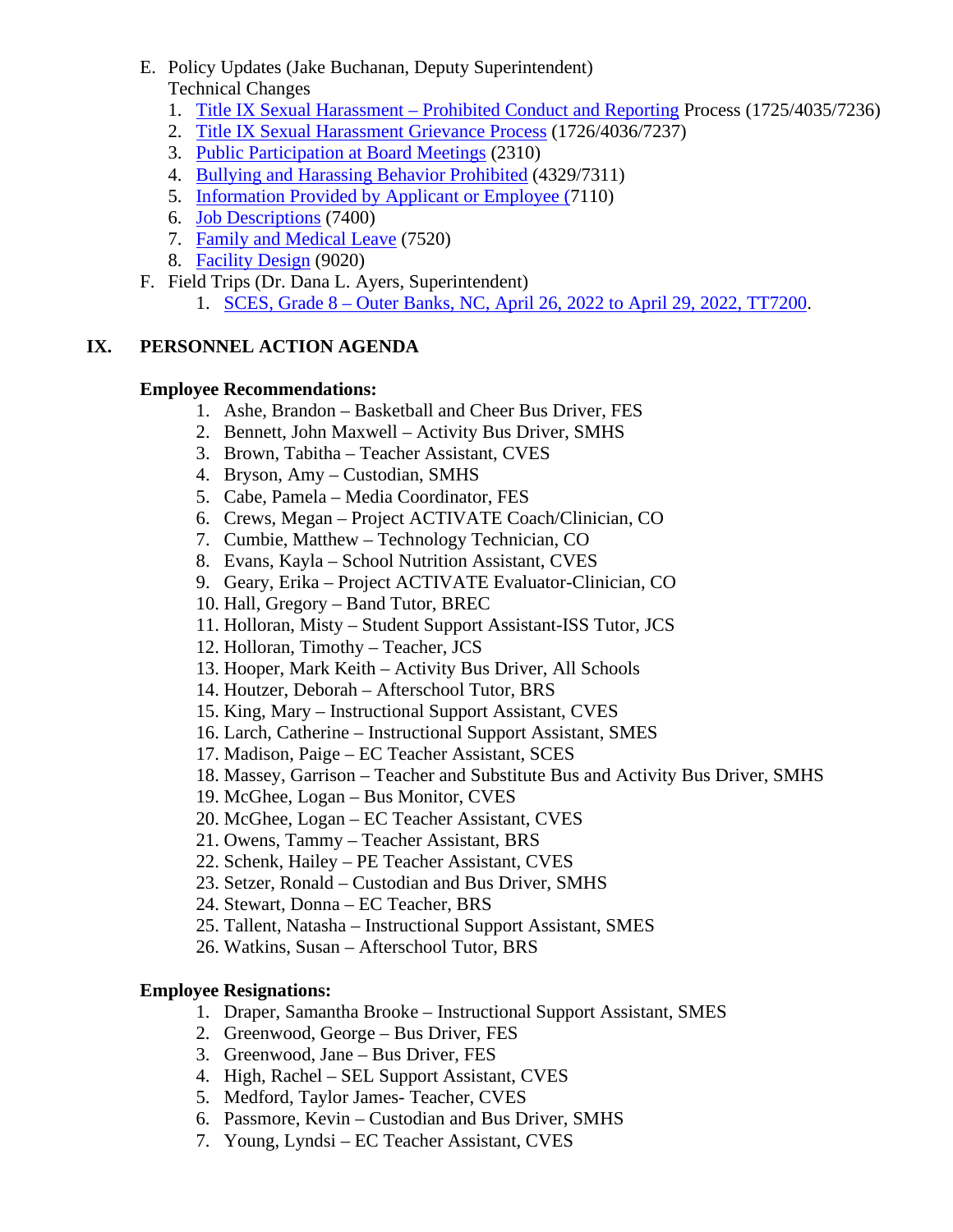- E. Policy Updates (Jake Buchanan, Deputy Superintendent) Technical Changes
	- 1. Title IX Sexual Harassment [Prohibited Conduct and Reporting](https://jcpsmail-my.sharepoint.com/:b:/g/personal/cfields_jcpsmail_org/EcTpGpn_5O9IoooH9fGJ-YQBpEcbJRTQzNfWS4V5ZfsCiw?e=lyHw74) Process (1725/4035/7236)
	- 2. [Title IX Sexual Harassment Grievance Process](https://jcpsmail-my.sharepoint.com/:b:/g/personal/cfields_jcpsmail_org/ETGhQJ5uZKZLtTkRqVVCTYwBVVionBkz1lEJrpnjRyVsxw?e=Ok1e0e) (1726/4036/7237)
	- 3. [Public Participation at Board Meetings](https://jcpsmail-my.sharepoint.com/:b:/g/personal/cfields_jcpsmail_org/EV_Do3k_3cNDlwtnBjHji80Bnv5PovV0cpBZtE2lFsyPjQ?e=Nz1nQv) (2310)
	- 4. [Bullying and Harassing Behavior Prohibited](https://jcpsmail-my.sharepoint.com/:b:/g/personal/cfields_jcpsmail_org/Ee4QRgAr1KVMpL68R5a8FIQBnLcA_7ZcCqth4boPSk7YdQ?e=dyqv4a) (4329/7311)
	- 5. [Information Provided by Applicant or Employee \(7](https://jcpsmail-my.sharepoint.com/:b:/g/personal/cfields_jcpsmail_org/EWLxY4xt8T5MgweQIqJW8q8B4ERJ_F7T2nY2TQB1Q71TJw?e=wqWhQH)110)
	- 6. [Job Descriptions](https://jcpsmail-my.sharepoint.com/:b:/g/personal/cfields_jcpsmail_org/EbayqV86s0ZGvrKNEJxn-_sBjE7D4RlOjBbIG9USxrCf-Q?e=7lof03) (7400)
	- 7. [Family and Medical Leave](https://jcpsmail-my.sharepoint.com/:b:/g/personal/cfields_jcpsmail_org/ESXDhSaNbJFJuSJXd_7wZq4BHoYSOAjQKlGo0od8oX6aZw?e=aNVSxH) (7520)
	- 8. [Facility Design](https://jcpsmail-my.sharepoint.com/:b:/g/personal/cfields_jcpsmail_org/EbhDaWja2g5Fs9JPisfMLW0Bdd7I-nruFXRHkDZVKNWthA?e=rpljwX) (9020)
- F. Field Trips (Dr. Dana L. Ayers, Superintendent)
	- 1. SCES, Grade 8 [Outer Banks, NC, April 26, 2022 to April 29, 2022, TT7200.](https://jcpsmail-my.sharepoint.com/:b:/g/personal/cfields_jcpsmail_org/EX6l79uucflNiWbbz5XHHDIBNx6DsYMI8HFqAC0gw-n3IA?e=DV4mv1)

### **IX. PERSONNEL ACTION AGENDA**

#### **Employee Recommendations:**

- 1. Ashe, Brandon Basketball and Cheer Bus Driver, FES
- 2. Bennett, John Maxwell Activity Bus Driver, SMHS
- 3. Brown, Tabitha Teacher Assistant, CVES
- 4. Bryson, Amy Custodian, SMHS
- 5. Cabe, Pamela Media Coordinator, FES
- 6. Crews, Megan Project ACTIVATE Coach/Clinician, CO
- 7. Cumbie, Matthew Technology Technician, CO
- 8. Evans, Kayla School Nutrition Assistant, CVES
- 9. Geary, Erika Project ACTIVATE Evaluator-Clinician, CO
- 10. Hall, Gregory Band Tutor, BREC
- 11. Holloran, Misty Student Support Assistant-ISS Tutor, JCS
- 12. Holloran, Timothy Teacher, JCS
- 13. Hooper, Mark Keith Activity Bus Driver, All Schools
- 14. Houtzer, Deborah Afterschool Tutor, BRS
- 15. King, Mary Instructional Support Assistant, CVES
- 16. Larch, Catherine Instructional Support Assistant, SMES
- 17. Madison, Paige EC Teacher Assistant, SCES
- 18. Massey, Garrison Teacher and Substitute Bus and Activity Bus Driver, SMHS
- 19. McGhee, Logan Bus Monitor, CVES
- 20. McGhee, Logan EC Teacher Assistant, CVES
- 21. Owens, Tammy Teacher Assistant, BRS
- 22. Schenk, Hailey PE Teacher Assistant, CVES
- 23. Setzer, Ronald Custodian and Bus Driver, SMHS
- 24. Stewart, Donna EC Teacher, BRS
- 25. Tallent, Natasha Instructional Support Assistant, SMES
- 26. Watkins, Susan Afterschool Tutor, BRS

# **Employee Resignations:**

- 1. Draper, Samantha Brooke Instructional Support Assistant, SMES
- 2. Greenwood, George Bus Driver, FES
- 3. Greenwood, Jane Bus Driver, FES
- 4. High, Rachel SEL Support Assistant, CVES
- 5. Medford, Taylor James- Teacher, CVES
- 6. Passmore, Kevin Custodian and Bus Driver, SMHS
- 7. Young, Lyndsi EC Teacher Assistant, CVES